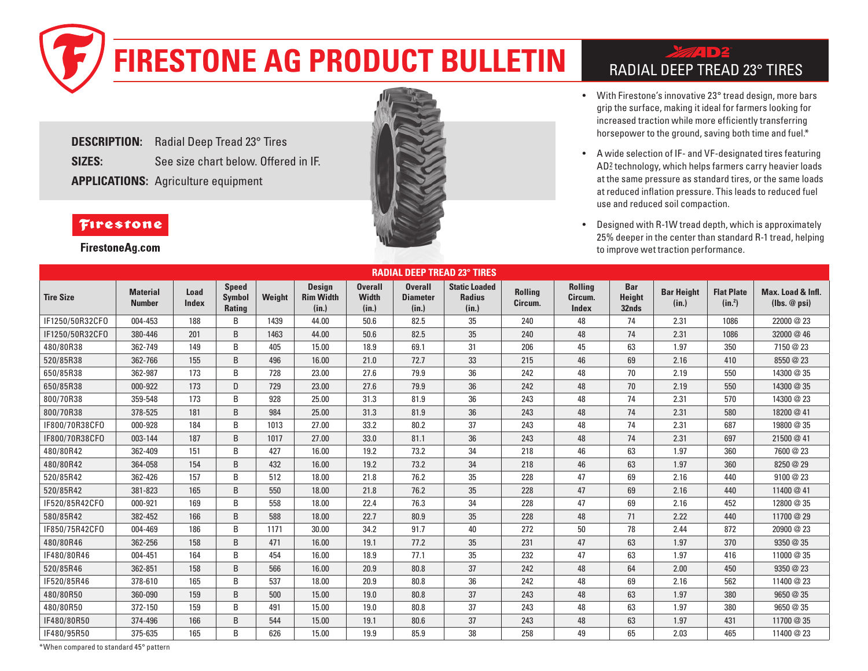## **FIRESTONE AG PRODUCT BULLETIN** RADIAL DEEP TREAD 23° TIRES

**DESCRIPTION:** Radial Deep Tread 23° Tires **SIZES:** See size chart below. Offered in IF. **APPLICATIONS:** Agriculture equipment



- With Firestone's innovative 23° tread design, more bars grip the surface, making it ideal for farmers looking for increased traction while more efficiently transferring horsepower to the ground, saving both time and fuel.\*
- A wide selection of IF- and VF-designated tires featuring AD2 technology, which helps farmers carry heavier loads at the same pressure as standard tires, or the same loads at reduced inflation pressure. This leads to reduced fuel use and reduced soil compaction.
- Designed with R-1W tread depth, which is approximately 25% deeper in the center than standard R-1 tread, helping to improve wet traction performance.

| <b>RADIAL DEEP TREAD 23° TIRES</b> |                                  |                      |                                         |        |                                            |                                         |                                            |                                                |                           |                                           |                                      |                            |                                         |                                          |
|------------------------------------|----------------------------------|----------------------|-----------------------------------------|--------|--------------------------------------------|-----------------------------------------|--------------------------------------------|------------------------------------------------|---------------------------|-------------------------------------------|--------------------------------------|----------------------------|-----------------------------------------|------------------------------------------|
| <b>Tire Size</b>                   | <b>Material</b><br><b>Number</b> | Load<br><b>Index</b> | <b>Speed</b><br><b>Symbol</b><br>Rating | Weight | <b>Design</b><br><b>Rim Width</b><br>(in.) | <b>Overall</b><br><b>Width</b><br>(in.) | <b>Overall</b><br><b>Diameter</b><br>(in.) | <b>Static Loaded</b><br><b>Radius</b><br>(in.) | <b>Rolling</b><br>Circum. | <b>Rolling</b><br>Circum.<br><b>Index</b> | <b>Bar</b><br><b>Height</b><br>32nds | <b>Bar Height</b><br>(in.) | <b>Flat Plate</b><br>(in <sup>2</sup> ) | Max. Load & Infl.<br>$(Ibs. \omega psi)$ |
| IF1250/50R32CFO                    | 004-453                          | 188                  | B                                       | 1439   | 44.00                                      | 50.6                                    | 82.5                                       | 35                                             | 240                       | 48                                        | 74                                   | 2.31                       | 1086                                    | 22000 @ 23                               |
| IF1250/50R32CFO                    | 380-446                          | 201                  | B                                       | 1463   | 44.00                                      | 50.6                                    | 82.5                                       | 35                                             | 240                       | 48                                        | 74                                   | 2.31                       | 1086                                    | 32000 @ 46                               |
| 480/80R38                          | 362-749                          | 149                  | B                                       | 405    | 15.00                                      | 18.9                                    | 69.1                                       | 31                                             | 206                       | 45                                        | 63                                   | 1.97                       | 350                                     | 7150 @ 23                                |
| 520/85R38                          | 362-766                          | 155                  | B                                       | 496    | 16.00                                      | 21.0                                    | 72.7                                       | 33                                             | 215                       | 46                                        | 69                                   | 2.16                       | 410                                     | 8550 @ 23                                |
| 650/85R38                          | 362-987                          | 173                  | B                                       | 728    | 23.00                                      | 27.6                                    | 79.9                                       | 36                                             | 242                       | 48                                        | 70                                   | 2.19                       | 550                                     | 14300 @ 35                               |
| 650/85R38                          | 000-922                          | 173                  | D                                       | 729    | 23.00                                      | 27.6                                    | 79.9                                       | 36                                             | 242                       | 48                                        | 70                                   | 2.19                       | 550                                     | 14300 @ 35                               |
| 800/70R38                          | 359-548                          | 173                  | B                                       | 928    | 25.00                                      | 31.3                                    | 81.9                                       | 36                                             | 243                       | 48                                        | 74                                   | 2.31                       | 570                                     | 14300 @ 23                               |
| 800/70R38                          | 378-525                          | 181                  | B                                       | 984    | 25.00                                      | 31.3                                    | 81.9                                       | 36                                             | 243                       | 48                                        | 74                                   | 2.31                       | 580                                     | 18200 @ 41                               |
| IF800/70R38CF0                     | 000-928                          | 184                  | B                                       | 1013   | 27.00                                      | 33.2                                    | 80.2                                       | 37                                             | 243                       | 48                                        | 74                                   | 2.31                       | 687                                     | 19800 @ 35                               |
| IF800/70R38CF0                     | 003-144                          | 187                  | B                                       | 1017   | 27.00                                      | 33.0                                    | 81.1                                       | 36                                             | 243                       | 48                                        | 74                                   | 2.31                       | 697                                     | 21500 @ 41                               |
| 480/80R42                          | 362-409                          | 151                  | B                                       | 427    | 16.00                                      | 19.2                                    | 73.2                                       | 34                                             | 218                       | 46                                        | 63                                   | 1.97                       | 360                                     | 7600 @ 23                                |
| 480/80R42                          | 364-058                          | 154                  | B                                       | 432    | 16.00                                      | 19.2                                    | 73.2                                       | 34                                             | 218                       | 46                                        | 63                                   | 1.97                       | 360                                     | 8250 @ 29                                |
| 520/85R42                          | 362-426                          | 157                  | B                                       | 512    | 18.00                                      | 21.8                                    | 76.2                                       | 35                                             | 228                       | 47                                        | 69                                   | 2.16                       | 440                                     | 9100 @ 23                                |
| 520/85R42                          | 381-823                          | 165                  | B                                       | 550    | 18.00                                      | 21.8                                    | 76.2                                       | 35                                             | 228                       | 47                                        | 69                                   | 2.16                       | 440                                     | 11400 @ 41                               |
| IF520/85R42CF0                     | 000-921                          | 169                  | B                                       | 558    | 18.00                                      | 22.4                                    | 76.3                                       | 34                                             | 228                       | 47                                        | 69                                   | 2.16                       | 452                                     | 12800 @ 35                               |
| 580/85R42                          | 382-452                          | 166                  | B                                       | 588    | 18.00                                      | 22.7                                    | 80.9                                       | 35                                             | 228                       | 48                                        | 71                                   | 2.22                       | 440                                     | 11700 @ 29                               |
| IF850/75R42CFO                     | 004-469                          | 186                  | B                                       | 1171   | 30.00                                      | 34.2                                    | 91.7                                       | 40                                             | 272                       | 50                                        | 78                                   | 2.44                       | 872                                     | 20900 @ 23                               |
| 480/80R46                          | 362-256                          | 158                  | B                                       | 471    | 16.00                                      | 19.1                                    | 77.2                                       | 35                                             | 231                       | 47                                        | 63                                   | 1.97                       | 370                                     | 9350 @ 35                                |
| IF480/80R46                        | 004-451                          | 164                  | B                                       | 454    | 16.00                                      | 18.9                                    | 77.1                                       | 35                                             | 232                       | 47                                        | 63                                   | 1.97                       | 416                                     | 11000 @ 35                               |
| 520/85R46                          | 362-851                          | 158                  | B                                       | 566    | 16.00                                      | 20.9                                    | 80.8                                       | 37                                             | 242                       | 48                                        | 64                                   | 2.00                       | 450                                     | 9350 @ 23                                |
| IF520/85R46                        | 378-610                          | 165                  | B                                       | 537    | 18.00                                      | 20.9                                    | 80.8                                       | 36                                             | 242                       | 48                                        | 69                                   | 2.16                       | 562                                     | 11400 @ 23                               |
| 480/80R50                          | 360-090                          | 159                  | B                                       | 500    | 15.00                                      | 19.0                                    | 80.8                                       | 37                                             | 243                       | 48                                        | 63                                   | 1.97                       | 380                                     | 9650 @ 35                                |
| 480/80R50                          | 372-150                          | 159                  | B                                       | 491    | 15.00                                      | 19.0                                    | 80.8                                       | 37                                             | 243                       | 48                                        | 63                                   | 1.97                       | 380                                     | 9650 @ 35                                |
| IF480/80R50                        | 374-496                          | 166                  | B                                       | 544    | 15.00                                      | 19.1                                    | 80.6                                       | 37                                             | 243                       | 48                                        | 63                                   | 1.97                       | 431                                     | 11700 @ 35                               |
| IF480/95R50                        | 375-635                          | 165                  | B                                       | 626    | 15.00                                      | 19.9                                    | 85.9                                       | 38                                             | 258                       | 49                                        | 65                                   | 2.03                       | 465                                     | 11400 @ 23                               |

**FirestoneAg.com** 

## Firestone

\*When compared to standard 45° pattern